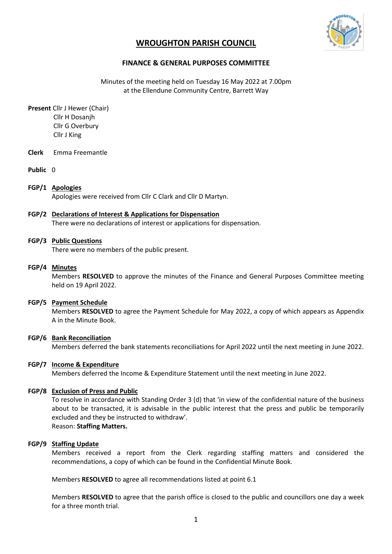

# **WROUGHTON PARISH COUNCIL**

# **FINANCE & GENERAL PURPOSES COMMITTEE**

Minutes of the meeting held on Tuesday 16 May 2022 at 7.00pm at the Ellendune Community Centre, Barrett Way

**Present** Cllr J Hewer (Chair) Cllr H Dosanjh Cllr G Overbury Cllr J King

- **Clerk** Emma Freemantle
- **Public** 0

## **FGP/1 Apologies**

Apologies were received from Cllr C Clark and Cllr D Martyn.

## **FGP/2 Declarations of Interest & Applications for Dispensation**

There were no declarations of interest or applications for dispensation.

## **FGP/3 Public Questions**

There were no members of the public present.

#### **FGP/4 Minutes**

Members **RESOLVED** to approve the minutes of the Finance and General Purposes Committee meeting held on 19 April 2022.

## **FGP/5 Payment Schedule**

Members **RESOLVED** to agree the Payment Schedule for May 2022, a copy of which appears as Appendix A in the Minute Book.

## **FGP/6 Bank Reconciliation**

Members deferred the bank statements reconciliations for April 2022 until the next meeting in June 2022.

## **FGP/7 Income & Expenditure**

Members deferred the Income & Expenditure Statement until the next meeting in June 2022.

#### **FGP/8 Exclusion of Press and Public**

To resolve in accordance with Standing Order 3 (d) that 'in view of the confidential nature of the business about to be transacted, it is advisable in the public interest that the press and public be temporarily excluded and they be instructed to withdraw'. Reason: **Staffing Matters.**

## **FGP/9 Staffing Update**

Members received a report from the Clerk regarding staffing matters and considered the recommendations, a copy of which can be found in the Confidential Minute Book.

Members **RESOLVED** to agree all recommendations listed at point 6.1

Members **RESOLVED** to agree that the parish office is closed to the public and councillors one day a week for a three month trial.